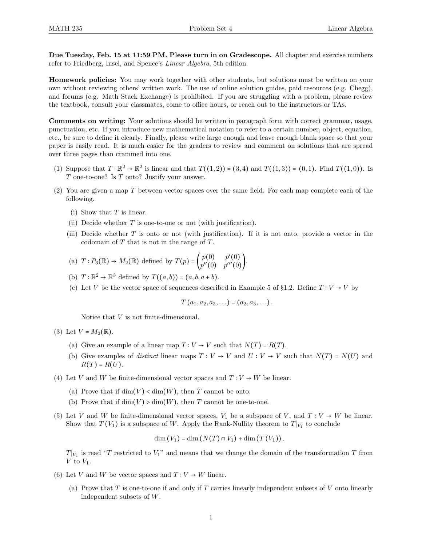Due Tuesday, Feb. 15 at 11:59 PM. Please turn in on Gradescope. All chapter and exercise numbers refer to Friedberg, Insel, and Spence's Linear Algebra, 5th edition.

Homework policies: You may work together with other students, but solutions must be written on your own without reviewing others' written work. The use of online solution guides, paid resources (e.g. Chegg), and forums (e.g. Math Stack Exchange) is prohibited. If you are struggling with a problem, please review the textbook, consult your classmates, come to office hours, or reach out to the instructors or TAs.

Comments on writing: Your solutions should be written in paragraph form with correct grammar, usage, punctuation, etc. If you introduce new mathematical notation to refer to a certain number, object, equation, etc., be sure to define it clearly. Finally, please write large enough and leave enough blank space so that your paper is easily read. It is much easier for the graders to review and comment on solutions that are spread over three pages than crammed into one.

- (1) Suppose that  $T: \mathbb{R}^2 \to \mathbb{R}^2$  is linear and that  $T((1,2)) = (3,4)$  and  $T((1,3)) = (0,1)$ . Find  $T((1,0))$ . Is  $T$  one-to-one? Is  $T$  onto? Justify your answer.
- (2) You are given a map  $T$  between vector spaces over the same field. For each map complete each of the following.
	- (i) Show that  $T$  is linear.
	- (ii) Decide whether  $T$  is one-to-one or not (with justification).
	- (iii) Decide whether  $T$  is onto or not (with justification). If it is not onto, provide a vector in the codomain of T that is not in the range of T.

(a) 
$$
T: P_3(\mathbb{R}) \to M_2(\mathbb{R})
$$
 defined by  $T(p) = \begin{pmatrix} p(0) & p'(0) \\ p''(0) & p'''(0) \end{pmatrix}$ .

- (b)  $T: \mathbb{R}^2 \to \mathbb{R}^3$  defined by  $T((a, b)) = (a, b, a + b)$ .
- (c) Let V be the vector space of sequences described in Example 5 of §1.2. Define  $T: V \rightarrow V$  by

$$
T(a_1, a_2, a_3, \ldots) = (a_2, a_3, \ldots).
$$

Notice that V is not finite-dimensional.

(3) Let  $V = M_2(\mathbb{R})$ .

- (a) Give an example of a linear map  $T: V \to V$  such that  $N(T) = R(T)$ .
- (b) Give examples of *distinct* linear maps  $T: V \to V$  and  $U: V \to V$  such that  $N(T) = N(U)$  and  $R(T) = R(U)$ .
- (4) Let V and W be finite-dimensional vector spaces and  $T: V \to W$  be linear.
	- (a) Prove that if  $\dim(V) < \dim(W)$ , then T cannot be onto.
	- (b) Prove that if  $\dim(V) > \dim(W)$ , then T cannot be one-to-one.
- (5) Let V and W be finite-dimensional vector spaces,  $V_1$  be a subspace of V, and  $T: V \to W$  be linear. Show that  $T(V_1)$  is a subspace of W. Apply the Rank-Nullity theorem to  $T|_{V_1}$  to conclude

$$
\dim(V_1) = \dim(N(T) \cap V_1) + \dim(T(V_1)).
$$

 $T|_{V_1}$  is read "T restricted to  $V_1$ " and means that we change the domain of the transformation T from V to  $V_1$ .

- (6) Let V and W be vector spaces and  $T: V \to W$  linear.
	- (a) Prove that  $T$  is one-to-one if and only if  $T$  carries linearly independent subsets of  $V$  onto linearly independent subsets of W.